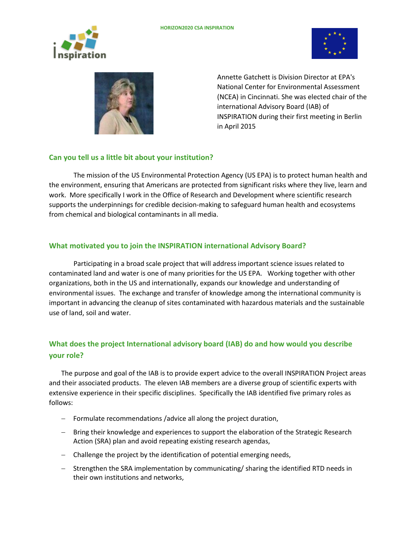





Annette Gatchett is Division Director at EPA's National Center for Environmental Assessment (NCEA) in Cincinnati. She was elected chair of the international Advisory Board (IAB) of INSPIRATION during their first meeting in Berlin in April 2015

## **Can you tell us a little bit about your institution?**

The mission of the US Environmental Protection Agency (US EPA) is to protect human health and the environment, ensuring that Americans are protected from significant risks where they live, learn and work. More specifically I work in the Office of Research and Development where scientific research supports the underpinnings for credible decision-making to safeguard human health and ecosystems from chemical and biological contaminants in all media.

## **What motivated you to join the INSPIRATION international Advisory Board?**

Participating in a broad scale project that will address important science issues related to contaminated land and water is one of many priorities for the US EPA. Working together with other organizations, both in the US and internationally, expands our knowledge and understanding of environmental issues. The exchange and transfer of knowledge among the international community is important in advancing the cleanup of sites contaminated with hazardous materials and the sustainable use of land, soil and water.

# **What does the project International advisory board (IAB) do and how would you describe your role?**

The purpose and goal of the IAB is to provide expert advice to the overall INSPIRATION Project areas and their associated products. The eleven IAB members are a diverse group of scientific experts with extensive experience in their specific disciplines. Specifically the IAB identified five primary roles as follows:

- $-$  Formulate recommendations /advice all along the project duration,
- Bring their knowledge and experiences to support the elaboration of the Strategic Research Action (SRA) plan and avoid repeating existing research agendas,
- Challenge the project by the identification of potential emerging needs,
- Strengthen the SRA implementation by communicating/ sharing the identified RTD needs in their own institutions and networks,